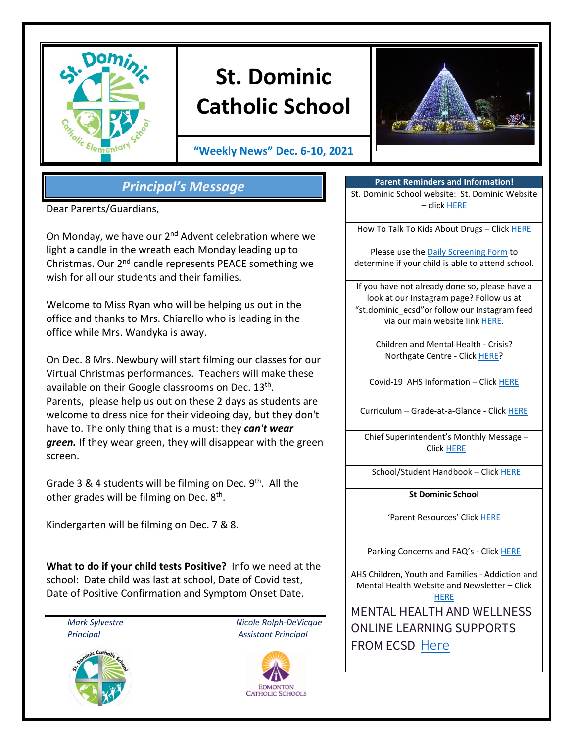

# **St. Dominic Catholic School**

**"Weekly News" Dec. 6-10, 2021**



### *Principal's Message*

Dear Parents/Guardians,

On Monday, we have our 2<sup>nd</sup> Advent celebration where we light a candle in the wreath each Monday leading up to Christmas. Our 2nd candle represents PEACE something we wish for all our students and their families.

Welcome to Miss Ryan who will be helping us out in the office and thanks to Mrs. Chiarello who is leading in the office while Mrs. Wandyka is away.

On Dec. 8 Mrs. Newbury will start filming our classes for our Virtual Christmas performances. Teachers will make these available on their Google classrooms on Dec. 13th. Parents, please help us out on these 2 days as students are welcome to dress nice for their videoing day, but they don't have to. The only thing that is a must: they *can't wear green.* If they wear green, they will disappear with the green screen.

Grade 3 & 4 students will be filming on Dec. 9<sup>th</sup>. All the other grades will be filming on Dec.  $8<sup>th</sup>$ .

Kindergarten will be filming on Dec. 7 & 8.

**What to do if your child tests Positive?** Info we need at the school: Date child was last at school, Date of Covid test, Date of Positive Confirmation and Symptom Onset Date.



*Mark Sylvestre Nicole Rolph-DeVicque Principal Assistant Principal* 



**Parent Reminders and Information!** St. Dominic School website: St. Dominic Website – click [HERE](https://www.ecsd.net/8020)

How To Talk To Kids About Drugs - Clic[k HERE](https://www.albertahealthservices.ca/Blogs/PFH/Posting305.aspx#.W6BEH-SouUm)

Please use the [Daily Screening Form](https://www.ecsd.net/_ci/p/34430) to determine if your child is able to attend school.

If you have not already done so, please have a look at our Instagram page? Follow us at "st.dominic\_ecsd"or follow our Instagram feed via our main website lin[k HERE.](https://www.instagram.com/st.dominic_ecsd/)

> Children and Mental Health - Crisis? Northgate Centre - Click [HERE?](https://www.albertahealthservices.ca/findhealth/Service.aspx?serviceAtFacilityId=1049807)

Covid-19 AHS Information – Clic[k HERE](https://www.albertahealthservices.ca/topics/Page16944.aspx)

Curriculum – Grade-at-a-Glance - Click [HERE](https://www.learnalberta.ca/content/mychildslearning/)

Chief Superintendent's Monthly Message – Click [HERE](https://www.ecsd.net/page/9041/chief-superintendent-s-message)

School/Student Handbook - Click [HERE](https://sbecsdstor.blob.core.windows.net/docs/a1e3310d-da1d-40ab-8398-941ae85938cc_St.%20Dominic%20School%20School%20Handbook%20-%20For%20Website%20-%20Updated%20May%202018.pdf)

**St Dominic School**

'Parent Resources' Clic[k HERE](https://www.ecsd.net/8020/page/5632/parent-resources)

Parking Concerns and FAQ's - Click [HERE](https://sbecsdstor.blob.core.windows.net/docs/d3525cec-cc07-4c3b-ba30-df3f7070a682_School%20Parking%20Information%20Sheet.pdf)

AHS Children, Youth and Families - Addiction and Mental Health Website and Newsletter – Click **[HERE](https://www.cyfcaregivereducation.ca/)** 

MENTAL HEALTH AND WELLNESS ONLINE LEARNING SUPPORTS FROM ECSD [Here](https://www.ecsd.net/page/7832/mental-health-and-wellness-online-learning-supports)